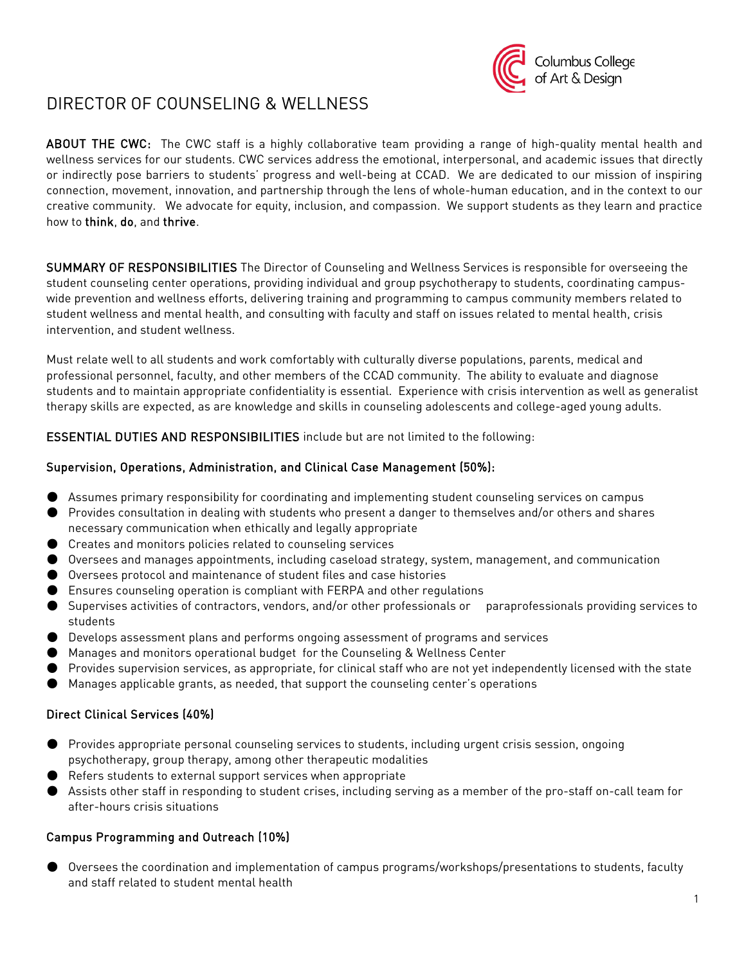

# DIRECTOR OF COUNSELING & WELLNESS

ABOUT THE CWC: The CWC staff is a highly collaborative team providing a range of high-quality mental health and wellness services for our students. CWC services address the emotional, interpersonal, and academic issues that directly or indirectly pose barriers to students' progress and well-being at CCAD. We are dedicated to our mission of inspiring connection, movement, innovation, and partnership through the lens of whole-human education, and in the context to our creative community. We advocate for equity, inclusion, and compassion. We support students as they learn and practice how to think, do, and thrive.

SUMMARY OF RESPONSIBILITIES The Director of Counseling and Wellness Services is responsible for overseeing the student counseling center operations, providing individual and group psychotherapy to students, coordinating campuswide prevention and wellness efforts, delivering training and programming to campus community members related to student wellness and mental health, and consulting with faculty and staff on issues related to mental health, crisis intervention, and student wellness.

Must relate well to all students and work comfortably with culturally diverse populations, parents, medical and professional personnel, faculty, and other members of the CCAD community. The ability to evaluate and diagnose students and to maintain appropriate confidentiality is essential. Experience with crisis intervention as well as generalist therapy skills are expected, as are knowledge and skills in counseling adolescents and college-aged young adults.

ESSENTIAL DUTIES AND RESPONSIBILITIES include but are not limited to the following:

### Supervision, Operations, Administration, and Clinical Case Management (50%):

- Assumes primary responsibility for coordinating and implementing student counseling services on campus
- Provides consultation in dealing with students who present a danger to themselves and/or others and shares necessary communication when ethically and legally appropriate
- Creates and monitors policies related to counseling services
- Oversees and manages appointments, including caseload strategy, system, management, and communication
- Oversees protocol and maintenance of student files and case histories
- Ensures counseling operation is compliant with FERPA and other regulations
- Supervises activities of contractors, vendors, and/or other professionals or paraprofessionals providing services to students
- Develops assessment plans and performs ongoing assessment of programs and services
- Manages and monitors operational budget for the Counseling & Wellness Center
- Provides supervision services, as appropriate, for clinical staff who are not yet independently licensed with the state
- Manages applicable grants, as needed, that support the counseling center's operations

### Direct Clinical Services (40%)

- Provides appropriate personal counseling services to students, including urgent crisis session, ongoing psychotherapy, group therapy, among other therapeutic modalities
- Refers students to external support services when appropriate
- Assists other staff in responding to student crises, including serving as a member of the pro-staff on-call team for after-hours crisis situations

### Campus Programming and Outreach (10%)

● Oversees the coordination and implementation of campus programs/workshops/presentations to students, faculty and staff related to student mental health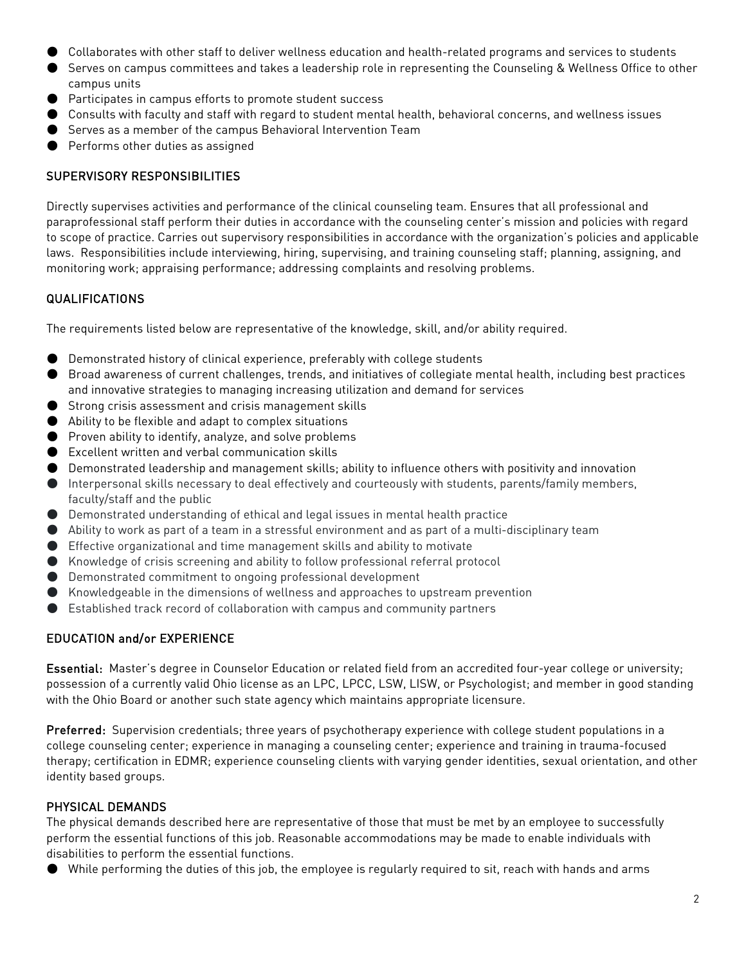- Collaborates with other staff to deliver wellness education and health-related programs and services to students
- Serves on campus committees and takes a leadership role in representing the Counseling & Wellness Office to other campus units
- Participates in campus efforts to promote student success
- Consults with faculty and staff with regard to student mental health, behavioral concerns, and wellness issues
- Serves as a member of the campus Behavioral Intervention Team
- Performs other duties as assigned

## SUPERVISORY RESPONSIBILITIES

Directly supervises activities and performance of the clinical counseling team. Ensures that all professional and paraprofessional staff perform their duties in accordance with the counseling center's mission and policies with regard to scope of practice. Carries out supervisory responsibilities in accordance with the organization's policies and applicable laws. Responsibilities include interviewing, hiring, supervising, and training counseling staff; planning, assigning, and monitoring work; appraising performance; addressing complaints and resolving problems.

# QUALIFICATIONS

The requirements listed below are representative of the knowledge, skill, and/or ability required.

- Demonstrated history of clinical experience, preferably with college students
- Broad awareness of current challenges, trends, and initiatives of collegiate mental health, including best practices and innovative strategies to managing increasing utilization and demand for services
- Strong crisis assessment and crisis management skills
- Ability to be flexible and adapt to complex situations
- Proven ability to identify, analyze, and solve problems
- Excellent written and verbal communication skills
- Demonstrated leadership and management skills; ability to influence others with positivity and innovation
- Interpersonal skills necessary to deal effectively and courteously with students, parents/family members, faculty/staff and the public
- Demonstrated understanding of ethical and legal issues in mental health practice
- Ability to work as part of a team in a stressful environment and as part of a multi-disciplinary team
- Effective organizational and time management skills and ability to motivate
- Knowledge of crisis screening and ability to follow professional referral protocol
- Demonstrated commitment to ongoing professional development
- Knowledgeable in the dimensions of wellness and approaches to upstream prevention
- Established track record of collaboration with campus and community partners

# EDUCATION and/or EXPERIENCE

Essential: Master's degree in Counselor Education or related field from an accredited four-year college or university; possession of a currently valid Ohio license as an LPC, LPCC, LSW, LISW, or Psychologist; and member in good standing with the Ohio Board or another such state agency which maintains appropriate licensure.

Preferred: Supervision credentials; three years of psychotherapy experience with college student populations in a college counseling center; experience in managing a counseling center; experience and training in trauma-focused therapy; certification in EDMR; experience counseling clients with varying gender identities, sexual orientation, and other identity based groups.

# PHYSICAL DEMANDS

The physical demands described here are representative of those that must be met by an employee to successfully perform the essential functions of this job. Reasonable accommodations may be made to enable individuals with disabilities to perform the essential functions.

● While performing the duties of this job, the employee is regularly required to sit, reach with hands and arms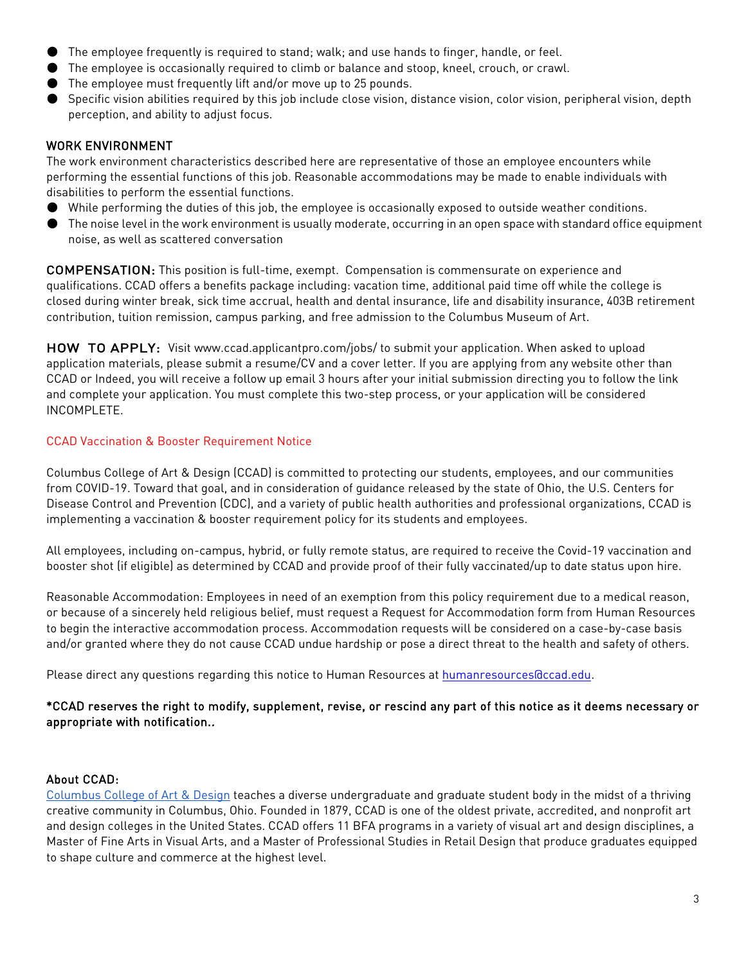- The employee frequently is required to stand; walk; and use hands to finger, handle, or feel.
- The employee is occasionally required to climb or balance and stoop, kneel, crouch, or crawl.
- The employee must frequently lift and/or move up to 25 pounds.
- Specific vision abilities required by this job include close vision, distance vision, color vision, peripheral vision, depth perception, and ability to adjust focus.

### WORK ENVIRONMENT

The work environment characteristics described here are representative of those an employee encounters while performing the essential functions of this job. Reasonable accommodations may be made to enable individuals with disabilities to perform the essential functions.

- While performing the duties of this job, the employee is occasionally exposed to outside weather conditions.
- The noise level in the work environment is usually moderate, occurring in an open space with standard office equipment noise, as well as scattered conversation

COMPENSATION: This position is full-time, exempt. Compensation is commensurate on experience and qualifications. CCAD offers a benefits package including: vacation time, additional paid time off while the college is closed during winter break, sick time accrual, health and dental insurance, life and disability insurance, 403B retirement contribution, tuition remission, campus parking, and free admission to the Columbus Museum of Art.

HOW TO APPLY: Visit [www.ccad.applicantpro.com/jobs/ t](http://www.ccad.applicantpro.com/jobs/)o submit your application. When asked to upload application materials, please submit a resume/CV and a cover letter. If you are applying from any website other than CCAD or Indeed, you will receive a follow up email 3 hours after your initial submission directing you to follow the link and complete your application. You must complete this two-step process, or your application will be considered INCOMPLETE.

### CCAD Vaccination & Booster Requirement Notice

Columbus College of Art & Design (CCAD) is committed to protecting our students, employees, and our communities from COVID-19. Toward that goal, and in consideration of guidance released by the state of Ohio, the U.S. Centers for Disease Control and Prevention (CDC), and a variety of public health authorities and professional organizations, CCAD is implementing a vaccination & booster requirement policy for its students and employees.

All employees, including on-campus, hybrid, or fully remote status, are required to receive the Covid-19 vaccination and booster shot (if eligible) as determined by CCAD and provide proof of their fully vaccinated/up to date status upon hire.

Reasonable Accommodation: Employees in need of an exemption from this policy requirement due to a medical reason, or because of a sincerely held religious belief, must request a Request for Accommodation form from Human Resources to begin the interactive accommodation process. Accommodation requests will be considered on a case-by-case basis and/or granted where they do not cause CCAD undue hardship or pose a direct threat to the health and safety of others.

Please direct any questions regarding this notice to Human Resources at humanresources accad.edu.

### \*CCAD reserves the right to modify, supplement, revise, or rescind any part of this notice as it deems necessary or appropriate with notification..

#### About CCAD:

[Columbus College of Art & Design](https://www.ccad.edu/) teaches a diverse undergraduate and graduate student body in the midst of a thriving creative community in Columbus, Ohio. Founded in 1879, CCAD is one of the oldest private, accredited, and nonprofit art and design colleges in the United States. CCAD offers 11 BFA programs in a variety of visual art and design disciplines, a Master of Fine Arts in Visual Arts, and a Master of Professional Studies in Retail Design that produce graduates equipped to shape culture and commerce at the highest level.